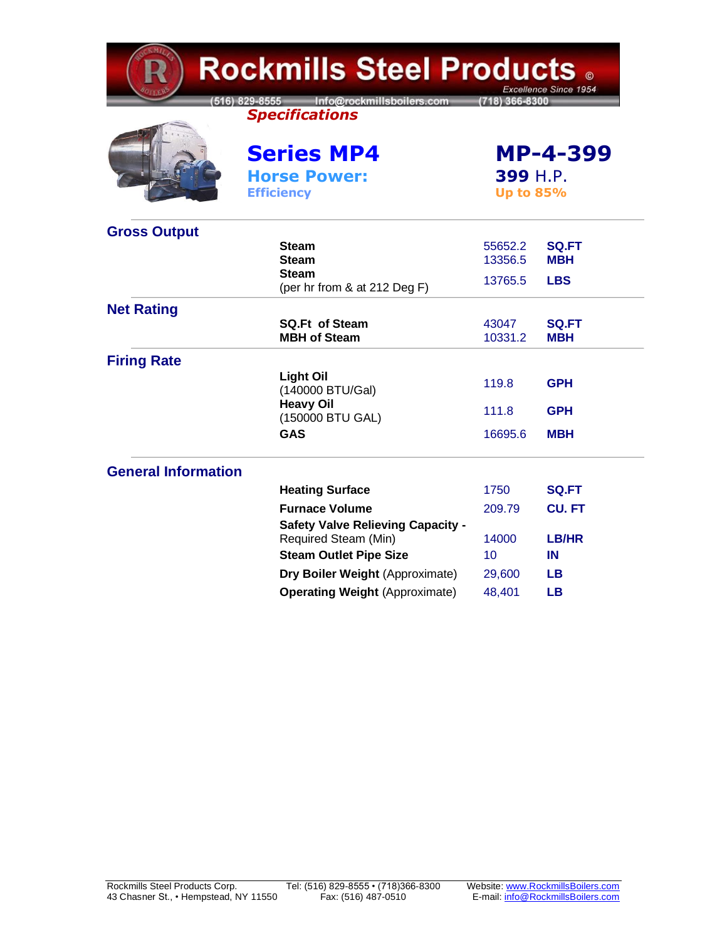| <b>Rockmills Steel Products 。</b><br>Excellence Since 1954 |                                                                     |                              |                            |  |
|------------------------------------------------------------|---------------------------------------------------------------------|------------------------------|----------------------------|--|
|                                                            | Info@rockmillsboilers.com<br>516) 829-8555<br><b>Specifications</b> | (718) 366-8300               |                            |  |
|                                                            | <b>Series MP4</b>                                                   | <b>MP-4-399</b>              |                            |  |
|                                                            | <b>Horse Power:</b><br><b>Efficiency</b>                            | 399 H.P.<br><b>Up to 85%</b> |                            |  |
| <b>Gross Output</b>                                        |                                                                     |                              |                            |  |
|                                                            | <b>Steam</b><br>Steam                                               | 55652.2<br>13356.5           | <b>SQ.FT</b><br><b>MBH</b> |  |
|                                                            | <b>Steam</b><br>(per hr from & at 212 Deg F)                        | 13765.5                      | <b>LBS</b>                 |  |
| <b>Net Rating</b>                                          |                                                                     |                              |                            |  |
|                                                            | <b>SQ.Ft of Steam</b><br><b>MBH of Steam</b>                        | 43047<br>10331.2             | <b>SQ.FT</b><br><b>MBH</b> |  |
| <b>Firing Rate</b>                                         |                                                                     |                              |                            |  |
|                                                            | <b>Light Oil</b><br>(140000 BTU/Gal)                                | 119.8                        | <b>GPH</b>                 |  |
|                                                            | <b>Heavy Oil</b><br>(150000 BTU GAL)                                | 111.8                        | <b>GPH</b>                 |  |
|                                                            | <b>GAS</b>                                                          | 16695.6                      | <b>MBH</b>                 |  |
| <b>General Information</b>                                 |                                                                     |                              |                            |  |
|                                                            | <b>Heating Surface</b>                                              | 1750                         | SQ.FT                      |  |
|                                                            | <b>Furnace Volume</b>                                               | 209.79                       | <b>CU.FT</b>               |  |
|                                                            | <b>Safety Valve Relieving Capacity -</b><br>Required Steam (Min)    | 14000                        | <b>LB/HR</b>               |  |
|                                                            | <b>Steam Outlet Pipe Size</b>                                       | 10                           | IN                         |  |
|                                                            | Dry Boiler Weight (Approximate)                                     | 29,600                       | LB.                        |  |
|                                                            | <b>Operating Weight (Approximate)</b>                               | 48,401                       | <b>LB</b>                  |  |

╭